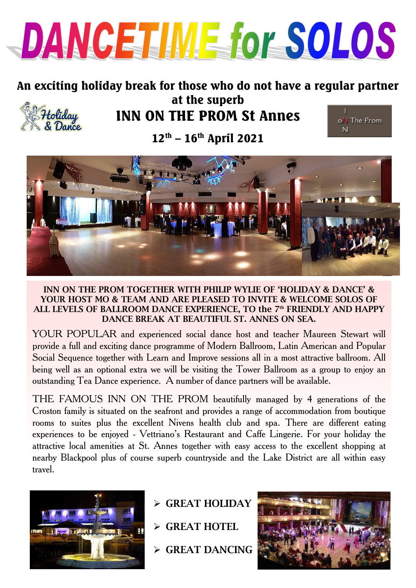

# An exciting holiday break for those who do not have a regular partner at the superb



# INN ON THE PROM St Annes



 $12^{th}$  –  $16^{th}$  April 2021



#### **INN ON THE PROM TOGETHER WITH PHILIP WYLIE OF 'HOLIDAY & DANCE' & YOUR HOST MO & TEAM AND ARE PLEASED TO INVITE & WELCOME SOLOS OF ALL LEVELS OF BALLROOM DANCE EXPERIENCE, TO the 7th FRIENDLY AND HAPPY DANCE BREAK AT BEAUTIFUL ST. ANNES ON SEA.**

YOUR POPULAR and experienced social dance host and teacher Maureen Stewart will provide a full and exciting dance programme of Modern Ballroom, Latin American and Popular Social Sequence together with Learn and Improve sessions all in a most attractive ballroom. All being well as an optional extra we will be visiting the Tower Ballroom as a group to enjoy an outstanding Tea Dance experience. A number of dance partners will be available.

THE FAMOUS INN ON THE PROM beautifully managed by 4 generations of the Croston family is situated on the seafront and provides a range of accommodation from boutique rooms to suites plus the excellent Nivens health club and spa. There are different eating experiences to be enjoyed - Vettriano's Restaurant and Caffe Lingerie. For your holiday the attractive local amenities at St. Annes together with easy access to the excellent shopping at nearby Blackpool plus of course superb countryside and the Lake District are all within easy travel.



- **GREAT HOLIDAY**
- **GREAT HOTEL**
- **GREAT DANCING**